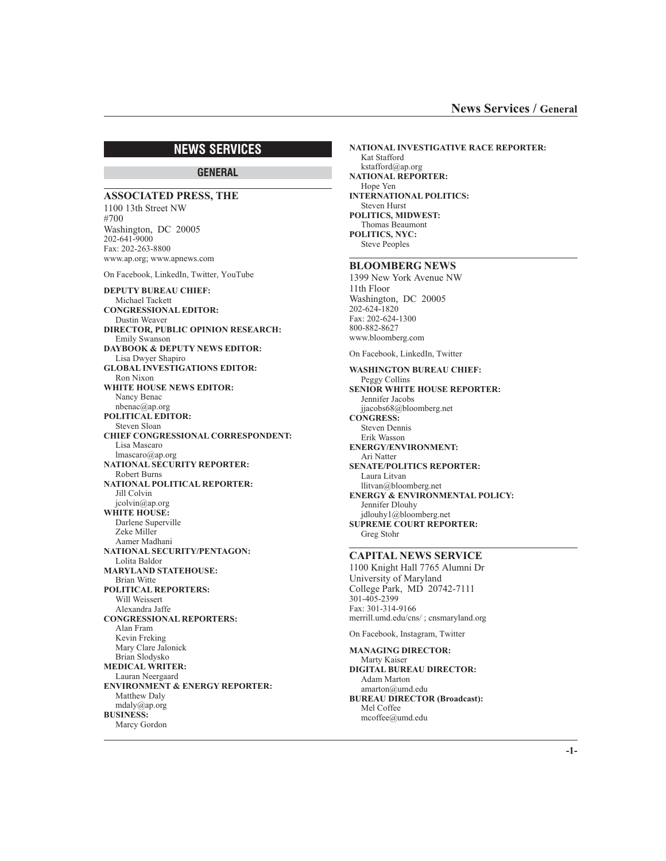# **NEWS SERVICES**

# **GENERAL**

**ASSOCIATED PRESS, THE** 1100 13th Street NW #700 Washington, DC 20005 202-641-9000 Fax: 202-263-8800 www.ap.org; www.apnews.com On Facebook, LinkedIn, Twitter, YouTube **DEPUTY BUREAU CHIEF:** Michael Tackett **CONGRESSIONAL EDITOR:** Dustin Weaver **DIRECTOR, PUBLIC OPINION RESEARCH:** Emily Swanson **DAYBOOK & DEPUTY NEWS EDITOR:** Lisa Dwyer Shapiro **GLOBAL INVESTIGATIONS EDITOR:** Ron Nixon **WHITE HOUSE NEWS EDITOR:** Nancy Benac nbenac@ap.org **POLITICAL EDITOR:** Steven Sloan **CHIEF CONGRESSIONAL CORRESPONDENT:** Lisa Mascaro lmascaro@ap.org **NATIONAL SECURITY REPORTER:** Robert Burns **NATIONAL POLITICAL REPORTER:** Jill Colvin jcolvin@ap.org **WHITE HOUSE:** Darlene Superville Zeke Miller Aamer Madhani **NATIONAL SECURITY/PENTAGON:** Lolita Baldor **MARYLAND STATEHOUSE:** Brian Witte **POLITICAL REPORTERS:** Will Weissert Alexandra Jaffe **CONGRESSIONAL REPORTERS:** Alan Fram Kevin Freking Mary Clare Jalonick Brian Slodysko **MEDICAL WRITER:** Lauran Neergaard **ENVIRONMENT & ENERGY REPORTER:** Matthew Daly mdaly@ap.org **BUSINESS:** Marcy Gordon

**NATIONAL INVESTIGATIVE RACE REPORTER:** Kat Stafford kstafford@ap.org **NATIONAL REPORTER:** Hope Yen **INTERNATIONAL POLITICS:** Steven Hurst **POLITICS, MIDWEST:** Thomas Beaumont **POLITICS, NYC:** Steve Peoples

# **BLOOMBERG NEWS**

1399 New York Avenue NW 11th Floor Washington, DC 20005 202-624-1820 Fax: 202-624-1300 800-882-8627 www.bloomberg.com

On Facebook, LinkedIn, Twitter

**WASHINGTON BUREAU CHIEF:** Peggy Collins **SENIOR WHITE HOUSE REPORTER:** Jennifer Jacobs jjacobs68@bloomberg.net **CONGRESS:** Steven Dennis Erik Wasson **ENERGY/ENVIRONMENT:** Ari Natter **SENATE/POLITICS REPORTER:** Laura Litvan llitvan@bloomberg.net **ENERGY & ENVIRONMENTAL POLICY:** Jennifer Dlouhy jdlouhy1@bloomberg.net **SUPREME COURT REPORTER:** Greg Stohr

## **CAPITAL NEWS SERVICE**

1100 Knight Hall 7765 Alumni Dr University of Maryland College Park, MD 20742-7111 301-405-2399 Fax: 301-314-9166 merrill.umd.edu/cns/ ; cnsmaryland.org

On Facebook, Instagram, Twitter

**MANAGING DIRECTOR:** Marty Kaiser **DIGITAL BUREAU DIRECTOR:** Adam Marton amarton@umd.edu **BUREAU DIRECTOR (Broadcast):** Mel Coffee mcoffee@umd.edu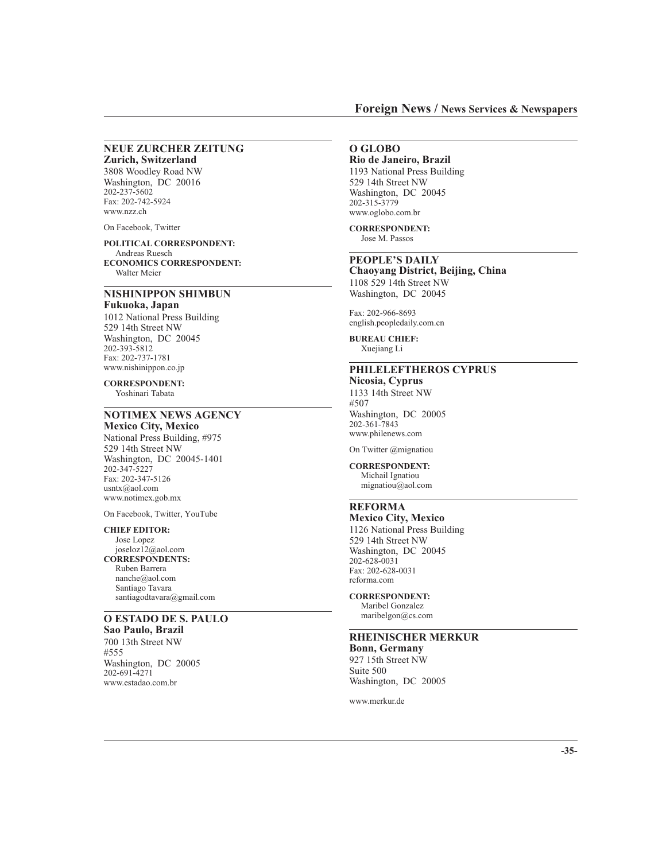#### **NEUE ZURCHER ZEITUNG Zurich, Switzerland**

3808 Woodley Road NW Washington, DC 20016 202-237-5602 Fax: 202-742-5924 www.nzz.ch

On Facebook, Twitter

Walter Meier

**POLITICAL CORRESPONDENT:** Andreas Ruesch **ECONOMICS CORRESPONDENT:**

# **NISHINIPPON SHIMBUN**

**Fukuoka, Japan** 1012 National Press Building 529 14th Street NW Washington, DC 20045 202-393-5812 Fax: 202-737-1781 www.nishinippon.co.jp

**CORRESPONDENT:** Yoshinari Tabata

# **NOTIMEX NEWS AGENCY**

**Mexico City, Mexico** National Press Building, #975 529 14th Street NW Washington, DC 20045-1401 202-347-5227 Fax: 202-347-5126 usntx@aol.com www.notimex.gob.mx

On Facebook, Twitter, YouTube

#### **CHIEF EDITOR:**

Jose Lopez joseloz12@aol.com **CORRESPONDENTS:** Ruben Barrera nanche@aol.com Santiago Tavara santiagodtavara@gmail.com

# **O ESTADO DE S. PAULO**

**Sao Paulo, Brazil** 700 13th Street NW #555 Washington, DC 20005 202-691-4271 www.estadao.com.br

# **O GLOBO**

**Rio de Janeiro, Brazil** 1193 National Press Building 529 14th Street NW Washington, DC 20045 202-315-3779 www.oglobo.com.br

#### **CORRESPONDENT:**

Jose M. Passos

# **PEOPLE'S DAILY**

**Chaoyang District, Beijing, China** 1108 529 14th Street NW Washington, DC 20045

Fax: 202-966-8693 english.peopledaily.com.cn

**BUREAU CHIEF:** Xuejiang Li

# **PHILELEFTHEROS CYPRUS**

**Nicosia, Cyprus** 1133 14th Street NW #507 Washington, DC 20005 202-361-7843 www.philenews.com

On Twitter @mignatiou

**CORRESPONDENT:** Michail Ignatiou mignatiou@aol.com

# **REFORMA**

**Mexico City, Mexico** 1126 National Press Building 529 14th Street NW Washington, DC 20045 202-628-0031 Fax: 202-628-0031 reforma.com

**CORRESPONDENT:** Maribel Gonzalez

maribelgon@cs.com

## **RHEINISCHER MERKUR Bonn, Germany**

927 15th Street NW Suite 500 Washington, DC 20005

www.merkur.de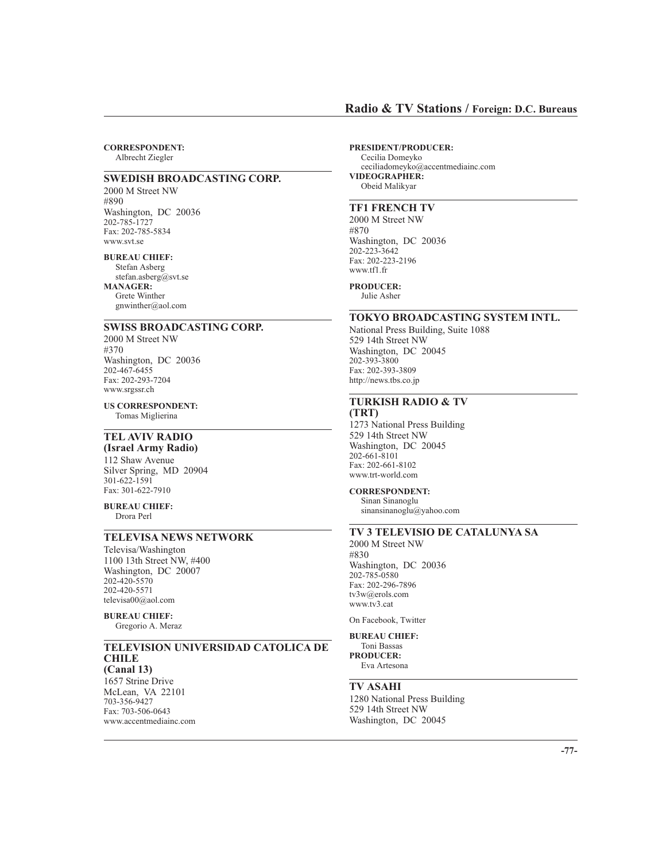## **Radio & TV Stations / Foreign: D.C. Bureaus**

**CORRESPONDENT:** Albrecht Ziegler

## **SWEDISH BROADCASTING CORP.**

2000 M Street NW #890 Washington, DC 20036 202-785-1727 Fax: 202-785-5834 www.svt.se

#### **BUREAU CHIEF:**

Stefan Asberg stefan.asberg@svt.se **MANAGER:** Grete Winther gnwinther@aol.com

### **SWISS BROADCASTING CORP.**

2000 M Street NW #370 Washington, DC 20036 202-467-6455 Fax: 202-293-7204 www.srgssr.ch

**US CORRESPONDENT:** Tomas Miglierina

# **TEL AVIV RADIO**

**(Israel Army Radio)** 112 Shaw Avenue Silver Spring, MD 20904 301-622-1591 Fax: 301-622-7910

**BUREAU CHIEF:** Drora Perl

### **TELEVISA NEWS NETWORK**

Televisa/Washington 1100 13th Street NW, #400 Washington, DC 20007 202-420-5570 202-420-5571 televisa00@aol.com

## **BUREAU CHIEF:**

Gregorio A. Meraz

### **TELEVISION UNIVERSIDAD CATOLICA DE CHILE (Canal 13)**

1657 Strine Drive McLean, VA 22101 703-356-9427 Fax: 703-506-0643 www.accentmediainc.com **PRESIDENT/PRODUCER:** Cecilia Domeyko ceciliadomeyko@accentmediainc.com **VIDEOGRAPHER:** Obeid Malikyar

### **TF1 FRENCH TV**

2000 M Street NW #870 Washington, DC 20036 202-223-3642 Fax: 202-223-2196 www.tf1.fr

**PRODUCER:** Julie Asher

### **TOKYO BROADCASTING SYSTEM INTL.**

National Press Building, Suite 1088 529 14th Street NW Washington, DC 20045 202-393-3800 Fax: 202-393-3809 http://news.tbs.co.jp

### **TURKISH RADIO & TV (TRT)**

1273 National Press Building 529 14th Street NW Washington, DC 20045 202-661-8101 Fax: 202-661-8102 www.trt-world.com

## **CORRESPONDENT:**

Sinan Sinanoglu sinansinanoglu@yahoo.com

# **TV 3 TELEVISIO DE CATALUNYA SA**

2000 M Street NW #830 Washington, DC 20036 202-785-0580 Fax: 202-296-7896 tv3w@erols.com www.tv3.cat

On Facebook, Twitter

## **BUREAU CHIEF:**

Toni Bassas **PRODUCER:** Eva Artesona

### **TV ASAHI**

1280 National Press Building 529 14th Street NW Washington, DC 20045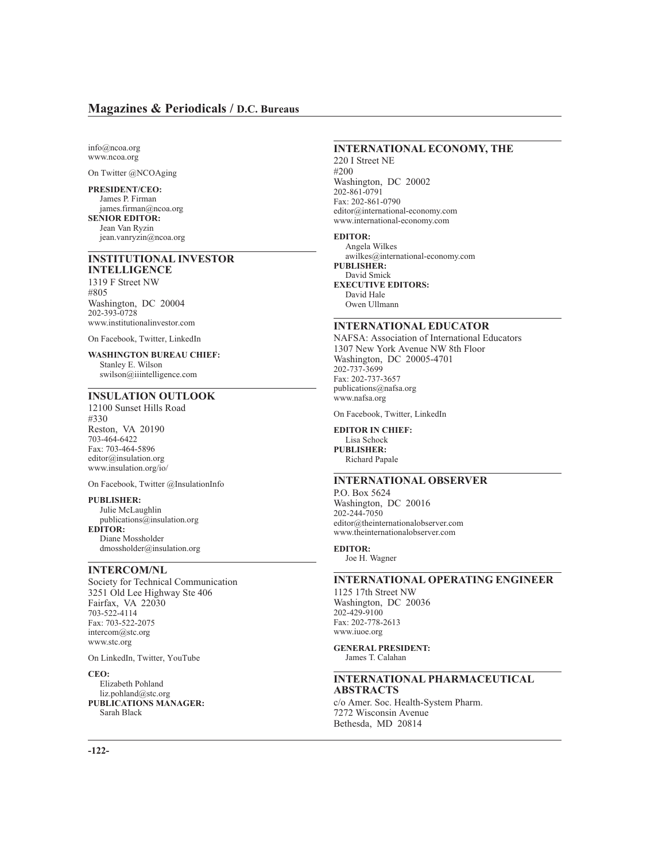info@ncoa.org www.ncoa.org

On Twitter @NCOAging

**PRESIDENT/CEO:** James P. Firman james.firman@ncoa.org **SENIOR EDITOR:** Jean Van Ryzin jean.vanryzin@ncoa.org

### **INSTITUTIONAL INVESTOR INTELLIGENCE**

1319 F Street NW #805 Washington, DC 20004 202-393-0728 www.institutionalinvestor.com

On Facebook, Twitter, LinkedIn

#### **WASHINGTON BUREAU CHIEF:**

Stanley E. Wilson swilson@iiintelligence.com

# **INSULATION OUTLOOK**

12100 Sunset Hills Road #330 Reston, VA 20190 703-464-6422 Fax: 703-464-5896 editor@insulation.org www.insulation.org/io/

On Facebook, Twitter @InsulationInfo

**PUBLISHER:** Julie McLaughlin publications@insulation.org **EDITOR:** Diane Mossholder dmossholder@insulation.org

# **INTERCOM/NL**

Society for Technical Communication 3251 Old Lee Highway Ste 406 Fairfax, VA 22030 703-522-4114 Fax: 703-522-2075 intercom@stc.org www.stc.org

On LinkedIn, Twitter, YouTube

**CEO:** Elizabeth Pohland liz.pohland@stc.org **PUBLICATIONS MANAGER:** Sarah Black

## **INTERNATIONAL ECONOMY, THE**

220 I Street NE #200 Washington, DC 20002 202-861-0791 Fax: 202-861-0790 editor@international-economy.com www.international-economy.com

#### **EDITOR:**

Angela Wilkes awilkes@international-economy.com **PUBLISHER:** David Smick **EXECUTIVE EDITORS:** David Hale Owen Ullmann

### **INTERNATIONAL EDUCATOR**

NAFSA: Association of International Educators 1307 New York Avenue NW 8th Floor Washington, DC 20005-4701 202-737-3699 Fax: 202-737-3657 publications@nafsa.org www.nafsa.org

On Facebook, Twitter, LinkedIn

**EDITOR IN CHIEF:** Lisa Schock **PUBLISHER:** Richard Papale

# **INTERNATIONAL OBSERVER**

P.O. Box 5624 Washington, DC 20016 202-244-7050 editor@theinternationalobserver.com www.theinternationalobserver.com

## **EDITOR:**

Joe H. Wagner

### **INTERNATIONAL OPERATING ENGINEER**

1125 17th Street NW Washington, DC 20036 202-429-9100 Fax: 202-778-2613 www.iuoe.org

**GENERAL PRESIDENT:** James T. Calahan

#### **INTERNATIONAL PHARMACEUTICAL ABSTRACTS** c/o Amer. Soc. Health-System Pharm.

7272 Wisconsin Avenue Bethesda, MD 20814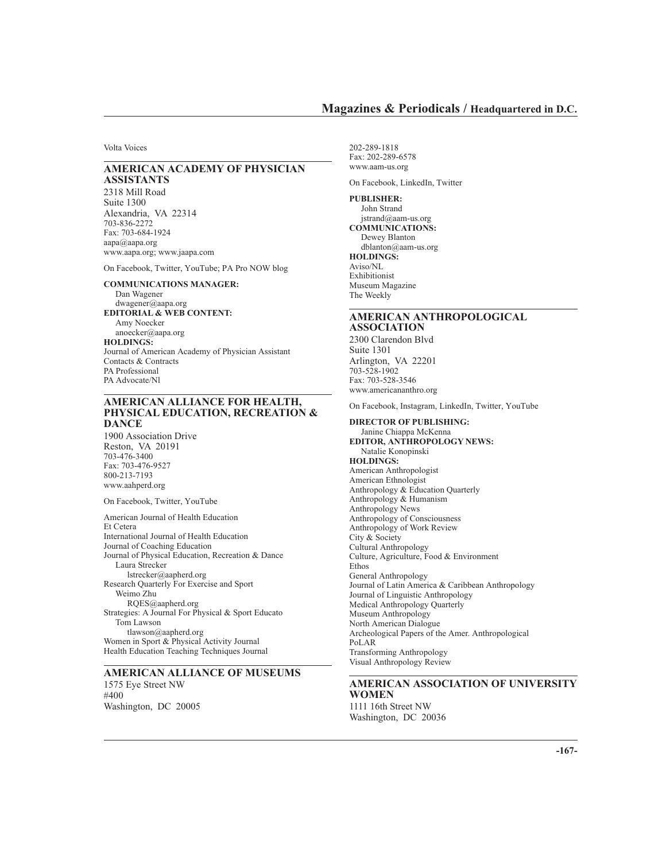## **Magazines & Periodicals / Headquartered in D.C.**

Volta Voices

### **AMERICAN ACADEMY OF PHYSICIAN ASSISTANTS**

2318 Mill Road Suite 1300 Alexandria, VA 22314 703-836-2272 Fax: 703-684-1924 aapa@aapa.org www.aapa.org; www.jaapa.com

On Facebook, Twitter, YouTube; PA Pro NOW blog

**COMMUNICATIONS MANAGER:** Dan Wagener dwagener@aapa.org **EDITORIAL & WEB CONTENT:** Amy Noecker anoecker@aapa.org **HOLDINGS:** Journal of American Academy of Physician Assistant Contacts & Contracts PA Professional PA Advocate/Nl

### **AMERICAN ALLIANCE FOR HEALTH, PHYSICAL EDUCATION, RECREATION & DANCE**

1900 Association Drive Reston, VA 20191 703-476-3400 Fax: 703-476-9527 800-213-7193 www.aahperd.org

On Facebook, Twitter, YouTube

American Journal of Health Education Et Cetera International Journal of Health Education Journal of Coaching Education Journal of Physical Education, Recreation & Dance Laura Strecker lstrecker@aapherd.org Research Quarterly For Exercise and Sport Weimo Zhu RQES@aapherd.org Strategies: A Journal For Physical & Sport Educato Tom Lawson tlawson@aapherd.org Women in Sport & Physical Activity Journal Health Education Teaching Techniques Journal

**AMERICAN ALLIANCE OF MUSEUMS** 1575 Eye Street NW #400 Washington, DC 20005

202-289-1818 Fax: 202-289-6578 www.aam-us.org

On Facebook, LinkedIn, Twitter

**PUBLISHER:** John Strand jstrand@aam-us.org **COMMUNICATIONS:** Dewey Blanton dblanton@aam-us.org **HOLDINGS:** Aviso/NL Exhibitionist Museum Magazine The Weekly

### **AMERICAN ANTHROPOLOGICAL ASSOCIATION**

2300 Clarendon Blvd Suite 1301 Arlington, VA 22201 703-528-1902 Fax: 703-528-3546 www.americananthro.org

On Facebook, Instagram, LinkedIn, Twitter, YouTube

**DIRECTOR OF PUBLISHING:** Janine Chiappa McKenna **EDITOR, ANTHROPOLOGY NEWS:** Natalie Konopinski **HOLDINGS:** American Anthropologist American Ethnologist Anthropology & Education Quarterly Anthropology & Humanism Anthropology News Anthropology of Consciousness Anthropology of Work Review City & Society Cultural Anthropology Culture, Agriculture, Food & Environment Ethos General Anthropology Journal of Latin America & Caribbean Anthropology Journal of Linguistic Anthropology Medical Anthropology Quarterly Museum Anthropology North American Dialogue Archeological Papers of the Amer. Anthropological PoLAR Transforming Anthropology Visual Anthropology Review

### **AMERICAN ASSOCIATION OF UNIVERSITY WOMEN** 1111 16th Street NW

Washington, DC 20036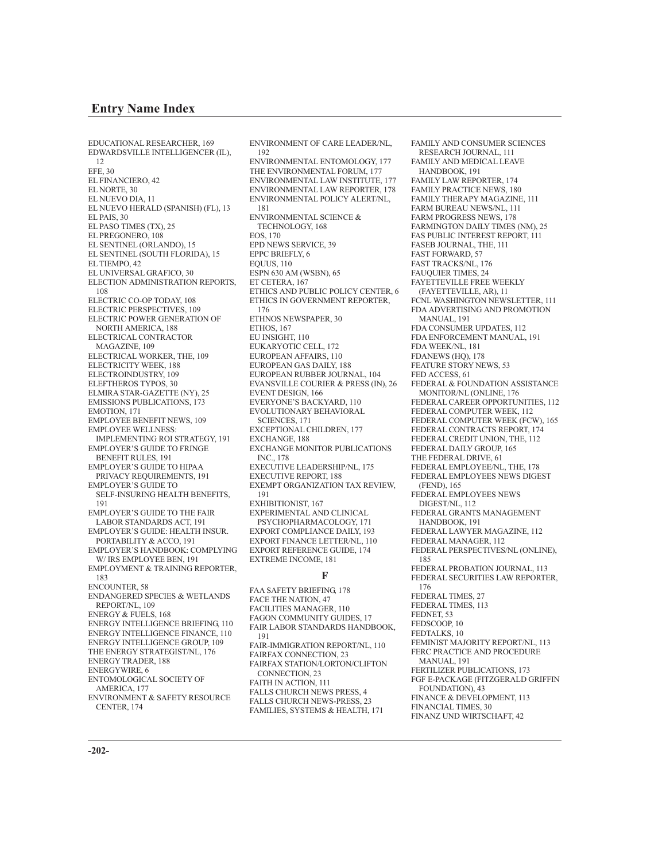## **Entry Name Index**

EDUCATIONAL RESEARCHER, 169 EDWARDSVILLE INTELLIGENCER (IL), 12 EFE, 30 EL FINANCIERO, 42 EL NORTE, 30 EL NUEVO DIA, 11 EL NUEVO HERALD (SPANISH) (FL), 13 EL PAIS, 30 EL PASO TIMES (TX), 25 EL PREGONERO, 108 EL SENTINEL (ORLANDO), 15 EL SENTINEL (SOUTH FLORIDA), 15 EL TIEMPO, 42 EL UNIVERSAL GRAFICO, 30 ELECTION ADMINISTRATION REPORTS, 108 ELECTRIC CO-OP TODAY, 108 ELECTRIC PERSPECTIVES, 109 ELECTRIC POWER GENERATION OF NORTH AMERICA, 188 ELECTRICAL CONTRACTOR MAGAZINE, 109 ELECTRICAL WORKER, THE, 109 ELECTRICITY WEEK, 188 ELECTROINDUSTRY, 109 ELEFTHEROS TYPOS, 30 ELMIRA STAR-GAZETTE (NY), 25 EMISSIONS PUBLICATIONS, 173 EMOTION, 171 EMPLOYEE BENEFIT NEWS, 109 EMPLOYEE WELLNESS: IMPLEMENTING ROI STRATEGY, 191 EMPLOYER'S GUIDE TO FRINGE BENEFIT RULES, 191 EMPLOYER'S GUIDE TO HIPAA PRIVACY REQUIREMENTS, 191 EMPLOYER'S GUIDE TO SELF-INSURING HEALTH BENEFITS, 191 EMPLOYER'S GUIDE TO THE FAIR LABOR STANDARDS ACT, 191 EMPLOYER'S GUIDE: HEALTH INSUR. PORTABILITY & ACCO, 191 EMPLOYER'S HANDBOOK: COMPLYING W/ IRS EMPLOYEE BEN, 191 EMPLOYMENT & TRAINING REPORTER, 183 ENCOUNTER<sub>58</sub> ENDANGERED SPECIES & WETLANDS REPORT/NL, 109 ENERGY & FUELS, 168 ENERGY INTELLIGENCE BRIEFING, 110 ENERGY INTELLIGENCE FINANCE, 110 ENERGY INTELLIGENCE GROUP, 109 THE ENERGY STRATEGIST/NL, 176 ENERGY TRADER, 188 ENERGYWIRE, 6 ENTOMOLOGICAL SOCIETY OF AMERICA, 177

ENVIRONMENT & SAFETY RESOURCE CENTER, 174

ENVIRONMENT OF CARE LEADER/NL, 192 ENVIRONMENTAL ENTOMOLOGY, 177 THE ENVIRONMENTAL FORUM 177 ENVIRONMENTAL LAW INSTITUTE, 177 ENVIRONMENTAL LAW REPORTER, 178 ENVIRONMENTAL POLICY ALERT/NL, 181 ENVIRONMENTAL SCIENCE & TECHNOLOGY, 168 EOS, 170 EPD NEWS SERVICE, 39 EPPC BRIEFLY, 6 EQUUS, 110 ESPN 630 AM (WSBN), 65 ET CETERA, 167 ETHICS AND PUBLIC POLICY CENTER, 6 ETHICS IN GOVERNMENT REPORTER, 176 ETHNOS NEWSPAPER, 30 ETHOS, 167 EU INSIGHT, 110 EUKARYOTIC CELL, 172 EUROPEAN AFFAIRS, 110 EUROPEAN GAS DAILY, 188 EUROPEAN RUBBER JOURNAL, 104 EVANSVILLE COURIER & PRESS (IN), 26 EVENT DESIGN, 166 EVERYONE'S BACKYARD, 110 EVOLUTIONARY BEHAVIORAL SCIENCES, 171 EXCEPTIONAL CHILDREN, 177 EXCHANGE, 188 EXCHANGE MONITOR PUBLICATIONS INC., 178 EXECUTIVE LEADERSHIP/NL, 175 EXECUTIVE REPORT, 188 EXEMPT ORGANIZATION TAX REVIEW, 191 EXHIBITIONIST, 167 EXPERIMENTAL AND CLINICAL PSYCHOPHARMACOLOGY, 171 EXPORT COMPLIANCE DAILY, 193 EXPORT FINANCE LETTER/NL, 110 EXPORT REFERENCE GUIDE, 174 EXTREME INCOME, 181

### **F**

FAA SAFETY BRIEFING, 178 FACE THE NATION, 47 FACILITIES MANAGER, 110 FAGON COMMUNITY GUIDES, 17 FAIR LABOR STANDARDS HANDBOOK, 191 FAIR-IMMIGRATION REPORT/NL, 110 FAIRFAX CONNECTION, 23 FAIRFAX STATION/LORTON/CLIFTON CONNECTION, 23 FAITH IN ACTION, 111 FALLS CHURCH NEWS PRESS, 4 FALLS CHURCH NEWS-PRESS, 23 FAMILIES, SYSTEMS & HEALTH, 171

FAMILY AND CONSUMER SCIENCES RESEARCH JOURNAL, 111 FAMILY AND MEDICAL LEAVE HANDBOOK, 191 FAMILY LAW REPORTER, 174 FAMILY PRACTICE NEWS, 180 FAMILY THERAPY MAGAZINE, 111 FARM BUREAU NEWS/NL, 111 FARM PROGRESS NEWS, 178 FARMINGTON DAILY TIMES (NM), 25 FAS PUBLIC INTEREST REPORT, 111 FASEB JOURNAL, THE, 111 FAST FORWARD, 57 FAST TRACKS/NL, 176 FAUQUIER TIMES, 24 FAYETTEVILLE FREE WEEKLY (FAYETTEVILLE, AR), 11 FCNL WASHINGTON NEWSLETTER, 111 FDA ADVERTISING AND PROMOTION MANUAL, 191 FDA CONSUMER UPDATES, 112 FDA ENFORCEMENT MANUAL, 191 FDA WEEK/NL, 181 FDANEWS (HQ), 178 FEATURE STORY NEWS, 53 FED ACCESS, 61 FEDERAL & FOUNDATION ASSISTANCE MONITOR/NL (ONLINE, 176 FEDERAL CAREER OPPORTUNITIES, 112 FEDERAL COMPUTER WEEK, 112 FEDERAL COMPUTER WEEK (FCW), 165 FEDERAL CONTRACTS REPORT, 174 FEDERAL CREDIT UNION, THE, 112 FEDERAL DAILY GROUP, 165 THE FEDERAL DRIVE, 61 FEDERAL EMPLOYEE/NL, THE, 178 FEDERAL EMPLOYEES NEWS DIGEST (FEND), 165 FEDERAL EMPLOYEES NEWS DIGEST/NL, 112 FEDERAL GRANTS MANAGEMENT HANDBOOK, 191 FEDERAL LAWYER MAGAZINE, 112 FEDERAL MANAGER, 112 FEDERAL PERSPECTIVES/NL (ONLINE), 185 FEDERAL PROBATION JOURNAL, 113 FEDERAL SECURITIES LAW REPORTER, 176 FEDERAL TIMES, 27 FEDERAL TIMES, 113 FEDNET, 53 FEDSCOOP, 10 FEDTALKS, 10 FEMINIST MAJORITY REPORT/NL, 113 FERC PRACTICE AND PROCEDURE MANUAL, 191 FERTILIZER PUBLICATIONS, 173 FGF E-PACKAGE (FITZGERALD GRIFFIN FOUNDATION), 43 FINANCE & DEVELOPMENT, 113 FINANCIAL TIMES, 30 FINANZ UND WIRTSCHAFT, 42